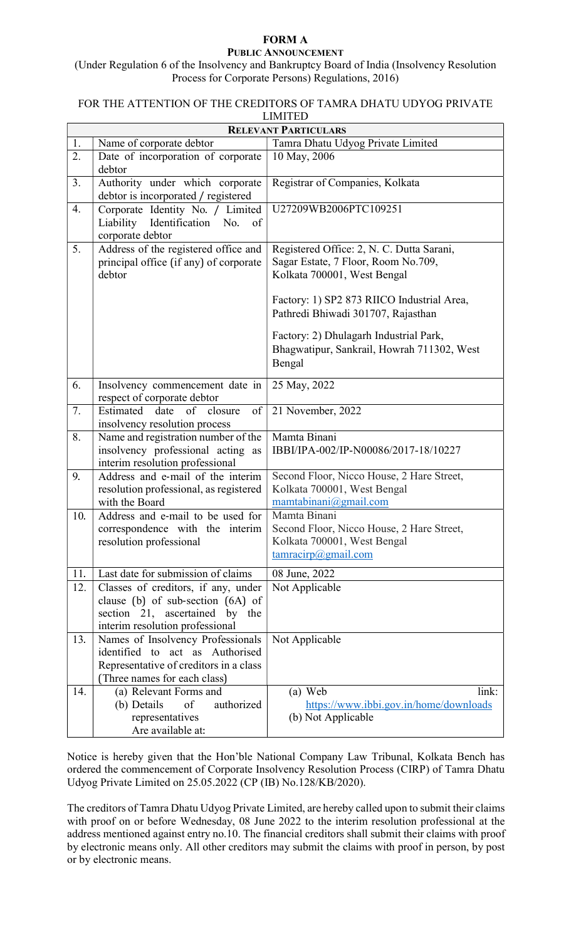## FORM A PUBLIC ANNOUNCEMENT

(Under Regulation 6 of the Insolvency and Bankruptcy Board of India (Insolvency Resolution Process for Corporate Persons) Regulations, 2016)

## FOR THE ATTENTION OF THE CREDITORS OF TAMRA DHATU UDYOG PRIVATE LIMITED

| <b>RELEVANT PARTICULARS</b> |                                                                                                                                                |                                                                                                                                                               |
|-----------------------------|------------------------------------------------------------------------------------------------------------------------------------------------|---------------------------------------------------------------------------------------------------------------------------------------------------------------|
| 1.                          | Name of corporate debtor                                                                                                                       | Tamra Dhatu Udyog Private Limited                                                                                                                             |
| 2.                          | Date of incorporation of corporate<br>debtor                                                                                                   | 10 May, 2006                                                                                                                                                  |
| 3.                          | Authority under which corporate<br>debtor is incorporated / registered                                                                         | Registrar of Companies, Kolkata                                                                                                                               |
| 4.                          | Corporate Identity No. / Limited<br>Liability<br>Identification<br>No.<br>of<br>corporate debtor                                               | U27209WB2006PTC109251                                                                                                                                         |
| 5.                          | Address of the registered office and<br>principal office (if any) of corporate<br>debtor                                                       | Registered Office: 2, N. C. Dutta Sarani,<br>Sagar Estate, 7 Floor, Room No.709,<br>Kolkata 700001, West Bengal<br>Factory: 1) SP2 873 RIICO Industrial Area, |
|                             |                                                                                                                                                | Pathredi Bhiwadi 301707, Rajasthan<br>Factory: 2) Dhulagarh Industrial Park,<br>Bhagwatipur, Sankrail, Howrah 711302, West<br>Bengal                          |
| 6.                          | Insolvency commencement date in<br>respect of corporate debtor                                                                                 | 25 May, 2022                                                                                                                                                  |
| 7.                          | of closure<br>of<br>Estimated<br>date<br>insolvency resolution process                                                                         | 21 November, 2022                                                                                                                                             |
| 8.                          | Name and registration number of the<br>insolvency professional acting as<br>interim resolution professional                                    | Mamta Binani<br>IBBI/IPA-002/IP-N00086/2017-18/10227                                                                                                          |
| 9.                          | Address and e-mail of the interim<br>resolution professional, as registered<br>with the Board                                                  | Second Floor, Nicco House, 2 Hare Street,<br>Kolkata 700001, West Bengal<br>mamtabinani@gmail.com                                                             |
| 10.                         | Address and e-mail to be used for<br>correspondence with the interim<br>resolution professional                                                | Mamta Binani<br>Second Floor, Nicco House, 2 Hare Street,<br>Kolkata 700001, West Bengal<br>$\frac{\tan\frac{\pi \cdot \ln a}{\ln b}}{2}$                     |
| 11.                         | Last date for submission of claims                                                                                                             | 08 June, 2022                                                                                                                                                 |
| 12.                         | Classes of creditors, if any, under<br>clause (b) of sub-section (6A) of<br>section 21, ascertained by the<br>interim resolution professional  | Not Applicable                                                                                                                                                |
| 13.                         | Names of Insolvency Professionals<br>identified to act as Authorised<br>Representative of creditors in a class<br>(Three names for each class) | Not Applicable                                                                                                                                                |
| 14.                         | (a) Relevant Forms and<br>(b) Details<br>of<br>authorized<br>representatives<br>Are available at:                                              | (a) Web<br>link:<br>https://www.ibbi.gov.in/home/downloads<br>(b) Not Applicable                                                                              |

Notice is hereby given that the Hon'ble National Company Law Tribunal, Kolkata Bench has ordered the commencement of Corporate Insolvency Resolution Process (CIRP) of Tamra Dhatu Udyog Private Limited on 25.05.2022 (CP (IB) No.128/KB/2020).

The creditors of Tamra Dhatu Udyog Private Limited, are hereby called upon to submit their claims with proof on or before Wednesday, 08 June 2022 to the interim resolution professional at the address mentioned against entry no.10. The financial creditors shall submit their claims with proof by electronic means only. All other creditors may submit the claims with proof in person, by post or by electronic means.